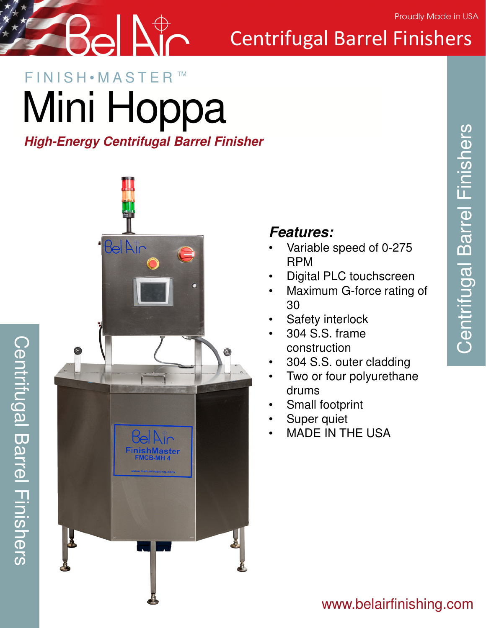

## Centrifugal Barrel Finishers

### FINISH • MASTER Mini Hoppa TM

#### *High-Energy Centrifugal Barrel Finisher*



Centrifugal Barrel Finishers

**Centrifugal Barrel Finishers** 

#### *Features:*

- Variable speed of 0-275 RPM
- Digital PLC touchscreen
- Maximum G-force rating of 30
- Safety interlock
- 304 S.S. frame construction
- 304 S.S. outer cladding
- Two or four polyurethane drums
- Small footprint
- Super quiet
- MADE IN THE USA

#### www.belairfinishing.com